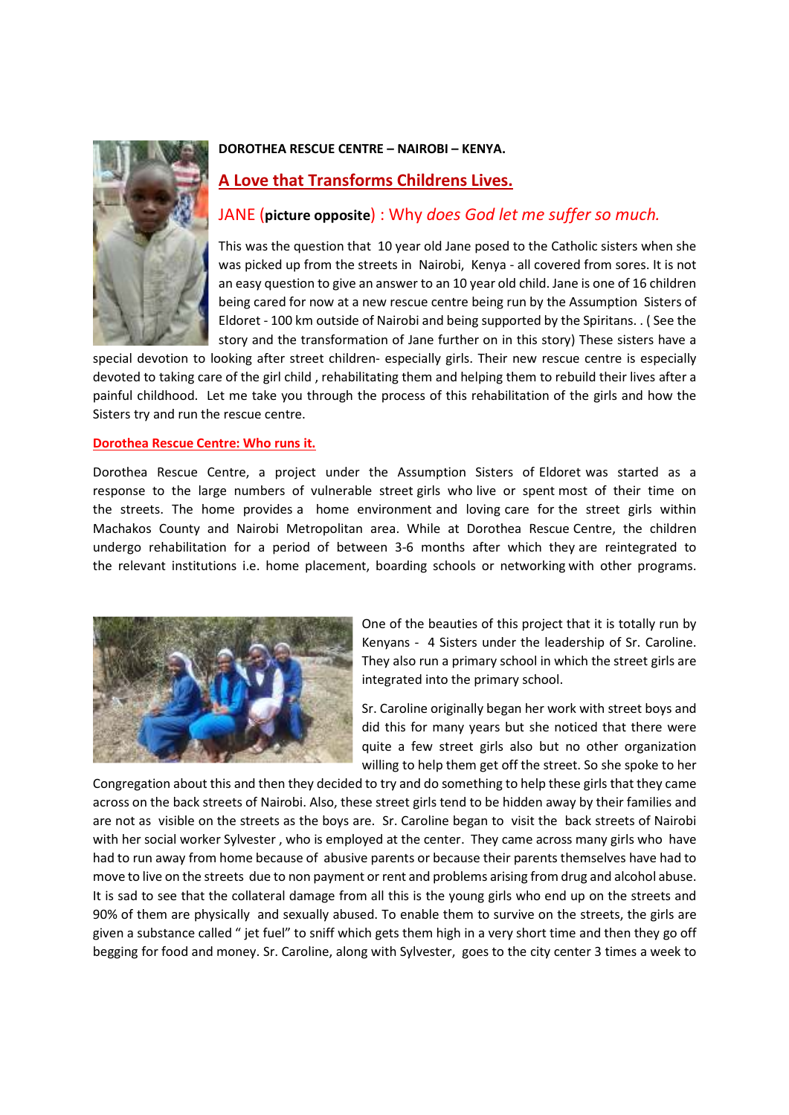

#### **DOROTHEA RESCUE CENTRE – NAIROBI – KENYA.**

### **A Love that Transforms Childrens Lives.**

### JANE (**picture opposite**) : Why *does God let me suffer so much.*

This was the question that 10 year old Jane posed to the Catholic sisters when she was picked up from the streets in Nairobi, Kenya - all covered from sores. It is not an easy question to give an answer to an 10 year old child. Jane is one of 16 children being cared for now at a new rescue centre being run by the Assumption Sisters of Eldoret - 100 km outside of Nairobi and being supported by the Spiritans. . ( See the story and the transformation of Jane further on in this story) These sisters have a

special devotion to looking after street children- especially girls. Their new rescue centre is especially devoted to taking care of the girl child , rehabilitating them and helping them to rebuild their lives after a painful childhood. Let me take you through the process of this rehabilitation of the girls and how the Sisters try and run the rescue centre.

#### **Dorothea Rescue Centre: Who runs it.**

Dorothea Rescue Centre, a project under the Assumption Sisters of Eldoret was started as a response to the large numbers of vulnerable street girls who live or spent most of their time on the streets. The home provides a home environment and loving care for the street girls within Machakos County and Nairobi Metropolitan area. While at Dorothea Rescue Centre, the children undergo rehabilitation for a period of between 3-6 months after which they are reintegrated to the relevant institutions i.e. home placement, boarding schools or networking with other programs.



One of the beauties of this project that it is totally run by Kenyans - 4 Sisters under the leadership of Sr. Caroline. They also run a primary school in which the street girls are integrated into the primary school.

Sr. Caroline originally began her work with street boys and did this for many years but she noticed that there were quite a few street girls also but no other organization willing to help them get off the street. So she spoke to her

Congregation about this and then they decided to try and do something to help these girls that they came across on the back streets of Nairobi. Also, these street girls tend to be hidden away by their families and are not as visible on the streets as the boys are. Sr. Caroline began to visit the back streets of Nairobi with her social worker Sylvester , who is employed at the center. They came across many girls who have had to run away from home because of abusive parents or because their parents themselves have had to move to live on the streets due to non payment or rent and problems arising from drug and alcohol abuse. It is sad to see that the collateral damage from all this is the young girls who end up on the streets and 90% of them are physically and sexually abused. To enable them to survive on the streets, the girls are given a substance called " jet fuel" to sniff which gets them high in a very short time and then they go off begging for food and money. Sr. Caroline, along with Sylvester, goes to the city center 3 times a week to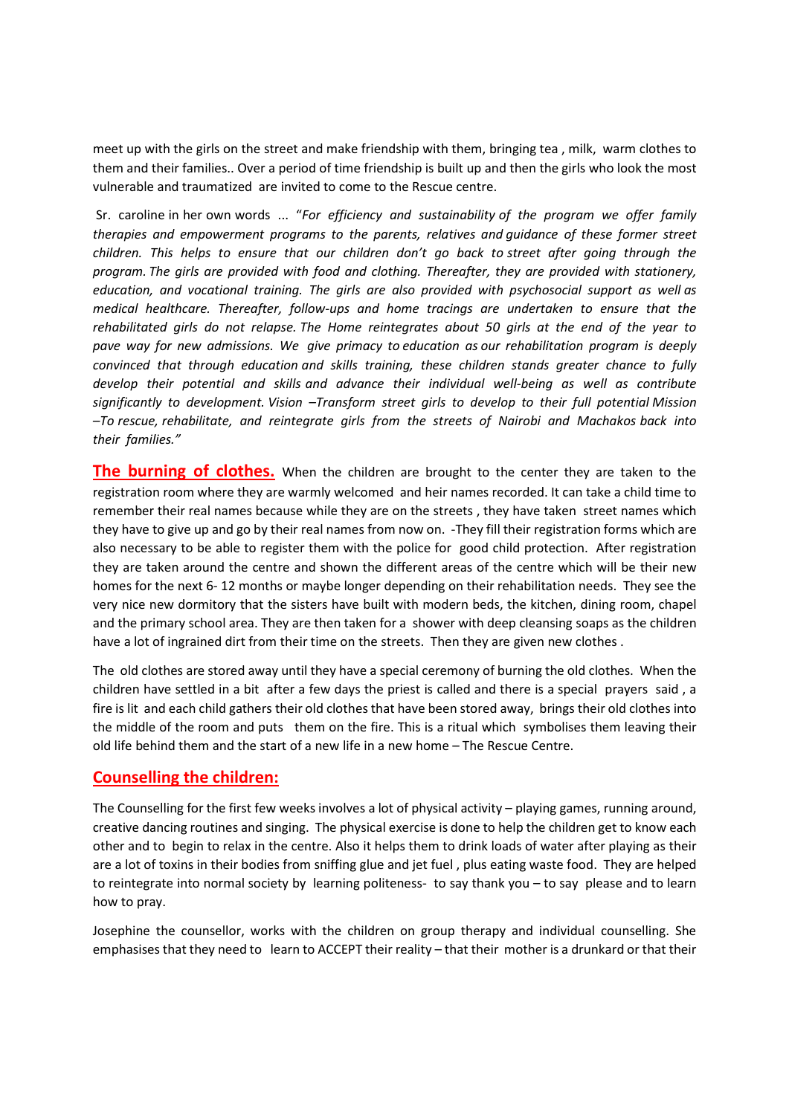meet up with the girls on the street and make friendship with them, bringing tea , milk, warm clothes to them and their families.. Over a period of time friendship is built up and then the girls who look the most vulnerable and traumatized are invited to come to the Rescue centre.

 Sr. caroline in her own words ... "*For efficiency and sustainability of the program we offer family therapies and empowerment programs to the parents, relatives and guidance of these former street children. This helps to ensure that our children don't go back to street after going through the program. The girls are provided with food and clothing. Thereafter, they are provided with stationery, education, and vocational training. The girls are also provided with psychosocial support as well as medical healthcare. Thereafter, follow-ups and home tracings are undertaken to ensure that the rehabilitated girls do not relapse. The Home reintegrates about 50 girls at the end of the year to pave way for new admissions. We give primacy to education as our rehabilitation program is deeply convinced that through education and skills training, these children stands greater chance to fully develop their potential and skills and advance their individual well-being as well as contribute significantly to development. Vision –Transform street girls to develop to their full potential Mission –To rescue, rehabilitate, and reintegrate girls from the streets of Nairobi and Machakos back into their families."* 

**The burning of clothes.** When the children are brought to the center they are taken to the registration room where they are warmly welcomed and heir names recorded. It can take a child time to remember their real names because while they are on the streets , they have taken street names which they have to give up and go by their real names from now on. -They fill their registration forms which are also necessary to be able to register them with the police for good child protection. After registration they are taken around the centre and shown the different areas of the centre which will be their new homes for the next 6- 12 months or maybe longer depending on their rehabilitation needs. They see the very nice new dormitory that the sisters have built with modern beds, the kitchen, dining room, chapel and the primary school area. They are then taken for a shower with deep cleansing soaps as the children have a lot of ingrained dirt from their time on the streets. Then they are given new clothes .

The old clothes are stored away until they have a special ceremony of burning the old clothes. When the children have settled in a bit after a few days the priest is called and there is a special prayers said , a fire is lit and each child gathers their old clothes that have been stored away, brings their old clothes into the middle of the room and puts them on the fire. This is a ritual which symbolises them leaving their old life behind them and the start of a new life in a new home – The Rescue Centre.

## **Counselling the children:**

The Counselling for the first few weeks involves a lot of physical activity – playing games, running around, creative dancing routines and singing. The physical exercise is done to help the children get to know each other and to begin to relax in the centre. Also it helps them to drink loads of water after playing as their are a lot of toxins in their bodies from sniffing glue and jet fuel , plus eating waste food. They are helped to reintegrate into normal society by learning politeness- to say thank you – to say please and to learn how to pray.

Josephine the counsellor, works with the children on group therapy and individual counselling. She emphasises that they need to learn to ACCEPT their reality – that their mother is a drunkard or that their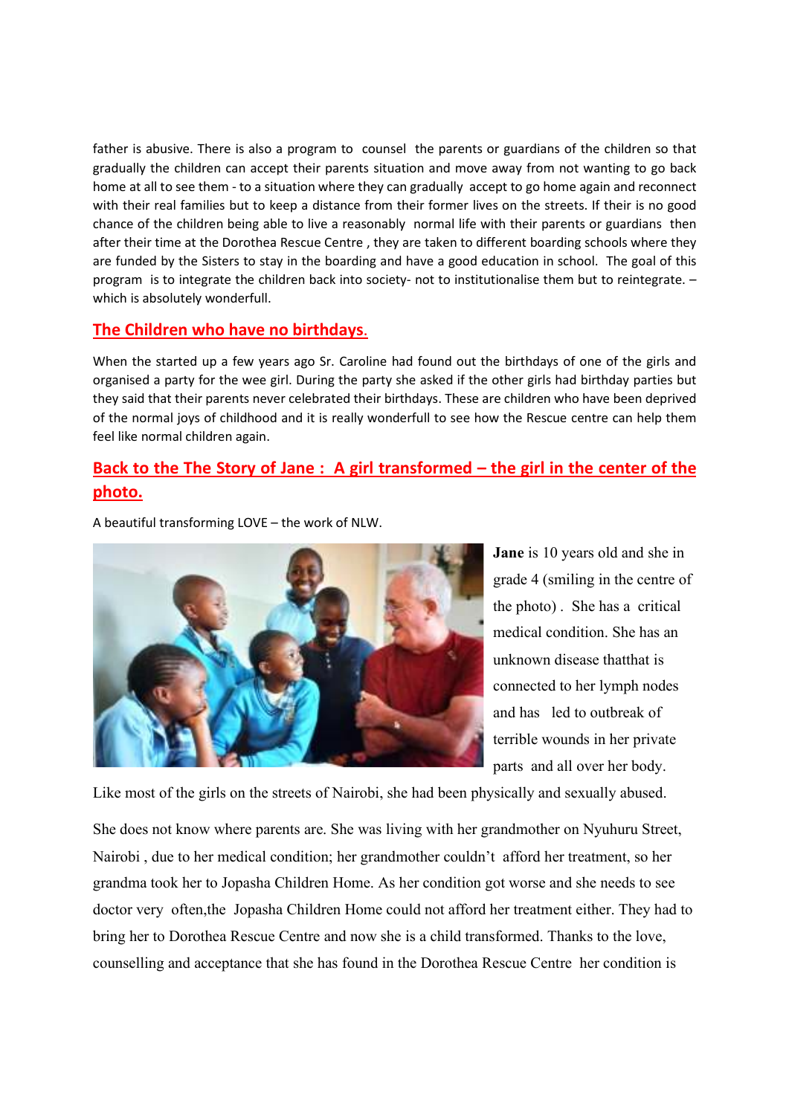father is abusive. There is also a program to counsel the parents or guardians of the children so that gradually the children can accept their parents situation and move away from not wanting to go back home at all to see them - to a situation where they can gradually accept to go home again and reconnect with their real families but to keep a distance from their former lives on the streets. If their is no good chance of the children being able to live a reasonably normal life with their parents or guardians then after their time at the Dorothea Rescue Centre , they are taken to different boarding schools where they are funded by the Sisters to stay in the boarding and have a good education in school. The goal of this program is to integrate the children back into society- not to institutionalise them but to reintegrate. – which is absolutely wonderfull.

## **The Children who have no birthdays**.

When the started up a few years ago Sr. Caroline had found out the birthdays of one of the girls and organised a party for the wee girl. During the party she asked if the other girls had birthday parties but they said that their parents never celebrated their birthdays. These are children who have been deprived of the normal joys of childhood and it is really wonderfull to see how the Rescue centre can help them feel like normal children again.

# **Back to the The Story of Jane : A girl transformed – the girl in the center of the photo.**

A beautiful transforming LOVE – the work of NLW.



**Jane** is 10 years old and she in grade 4 (smiling in the centre of the photo) . She has a critical medical condition. She has an unknown disease thatthat is connected to her lymph nodes and has led to outbreak of terrible wounds in her private parts and all over her body.

Like most of the girls on the streets of Nairobi, she had been physically and sexually abused.

She does not know where parents are. She was living with her grandmother on Nyuhuru Street, Nairobi , due to her medical condition; her grandmother couldn't afford her treatment, so her grandma took her to Jopasha Children Home. As her condition got worse and she needs to see doctor very often,the Jopasha Children Home could not afford her treatment either. They had to bring her to Dorothea Rescue Centre and now she is a child transformed. Thanks to the love, counselling and acceptance that she has found in the Dorothea Rescue Centre her condition is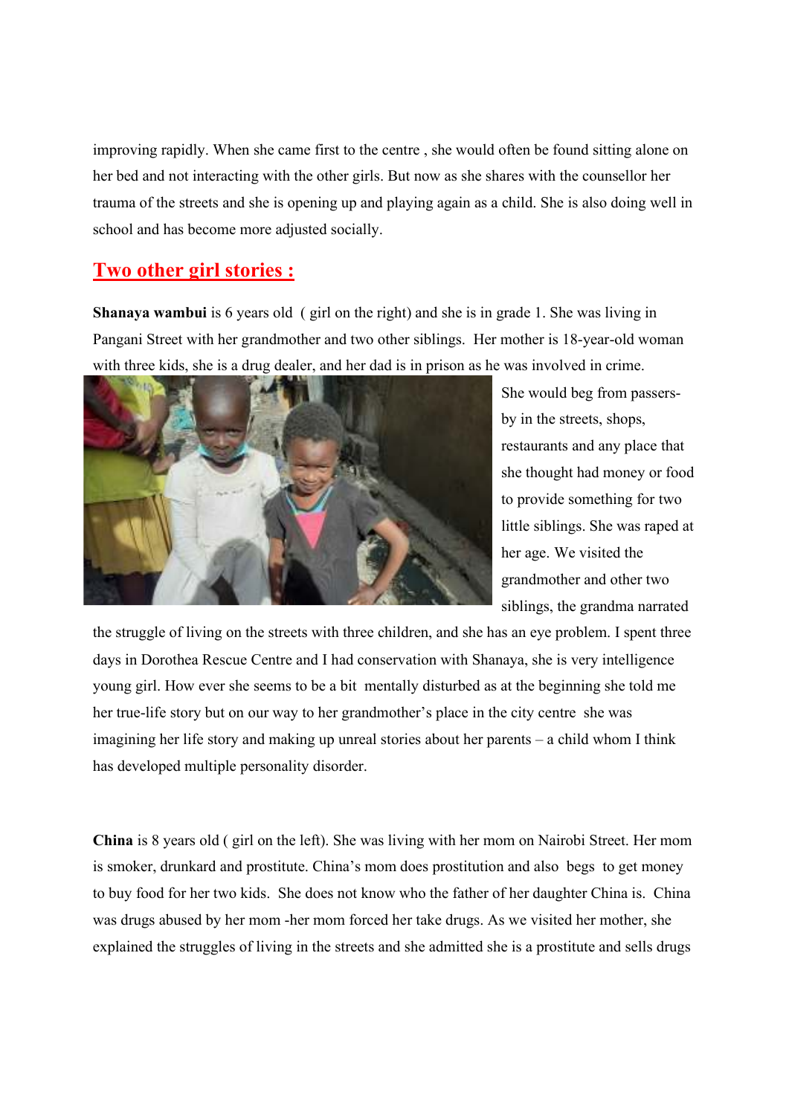improving rapidly. When she came first to the centre , she would often be found sitting alone on her bed and not interacting with the other girls. But now as she shares with the counsellor her trauma of the streets and she is opening up and playing again as a child. She is also doing well in school and has become more adjusted socially.

# **Two other girl stories :**

**Shanaya wambui** is 6 years old ( girl on the right) and she is in grade 1. She was living in Pangani Street with her grandmother and two other siblings. Her mother is 18-year-old woman with three kids, she is a drug dealer, and her dad is in prison as he was involved in crime.



She would beg from passersby in the streets, shops, restaurants and any place that she thought had money or food to provide something for two little siblings. She was raped at her age. We visited the grandmother and other two siblings, the grandma narrated

the struggle of living on the streets with three children, and she has an eye problem. I spent three days in Dorothea Rescue Centre and I had conservation with Shanaya, she is very intelligence young girl. How ever she seems to be a bit mentally disturbed as at the beginning she told me her true-life story but on our way to her grandmother's place in the city centre she was imagining her life story and making up unreal stories about her parents – a child whom I think has developed multiple personality disorder.

**China** is 8 years old ( girl on the left). She was living with her mom on Nairobi Street. Her mom is smoker, drunkard and prostitute. China's mom does prostitution and also begs to get money to buy food for her two kids. She does not know who the father of her daughter China is. China was drugs abused by her mom -her mom forced her take drugs. As we visited her mother, she explained the struggles of living in the streets and she admitted she is a prostitute and sells drugs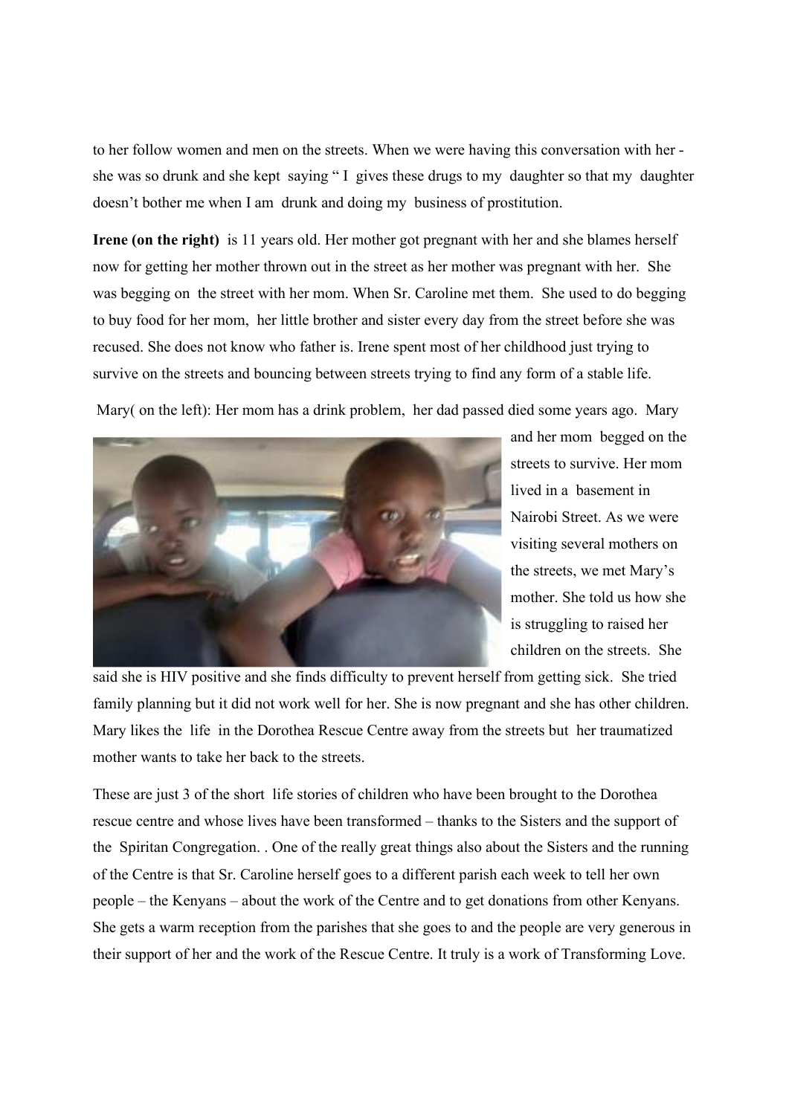to her follow women and men on the streets. When we were having this conversation with her she was so drunk and she kept saying " I gives these drugs to my daughter so that my daughter doesn't bother me when I am drunk and doing my business of prostitution.

**Irene (on the right)** is 11 years old. Her mother got pregnant with her and she blames herself now for getting her mother thrown out in the street as her mother was pregnant with her. She was begging on the street with her mom. When Sr. Caroline met them. She used to do begging to buy food for her mom, her little brother and sister every day from the street before she was recused. She does not know who father is. Irene spent most of her childhood just trying to survive on the streets and bouncing between streets trying to find any form of a stable life.

Mary( on the left): Her mom has a drink problem, her dad passed died some years ago. Mary



and her mom begged on the streets to survive. Her mom lived in a basement in Nairobi Street. As we were visiting several mothers on the streets, we met Mary's mother. She told us how she is struggling to raised her children on the streets. She

said she is HIV positive and she finds difficulty to prevent herself from getting sick. She tried family planning but it did not work well for her. She is now pregnant and she has other children. Mary likes the life in the Dorothea Rescue Centre away from the streets but her traumatized mother wants to take her back to the streets.

These are just 3 of the short life stories of children who have been brought to the Dorothea rescue centre and whose lives have been transformed – thanks to the Sisters and the support of the Spiritan Congregation. . One of the really great things also about the Sisters and the running of the Centre is that Sr. Caroline herself goes to a different parish each week to tell her own people – the Kenyans – about the work of the Centre and to get donations from other Kenyans. She gets a warm reception from the parishes that she goes to and the people are very generous in their support of her and the work of the Rescue Centre. It truly is a work of Transforming Love.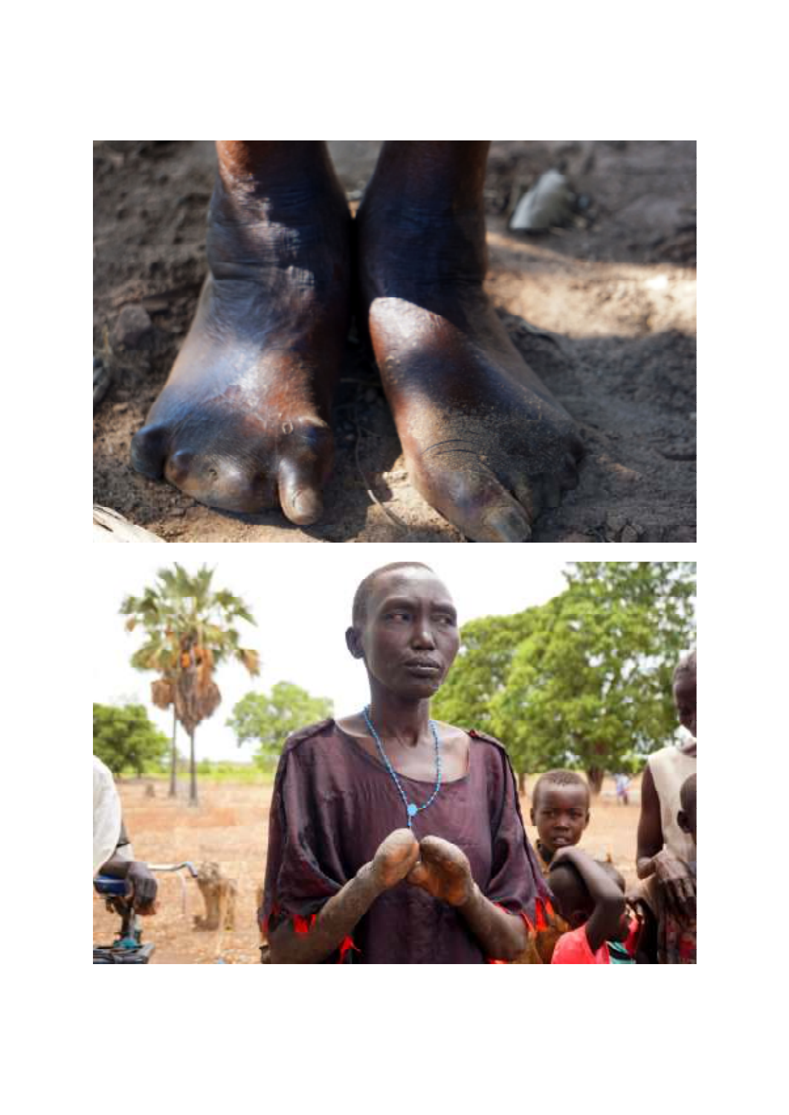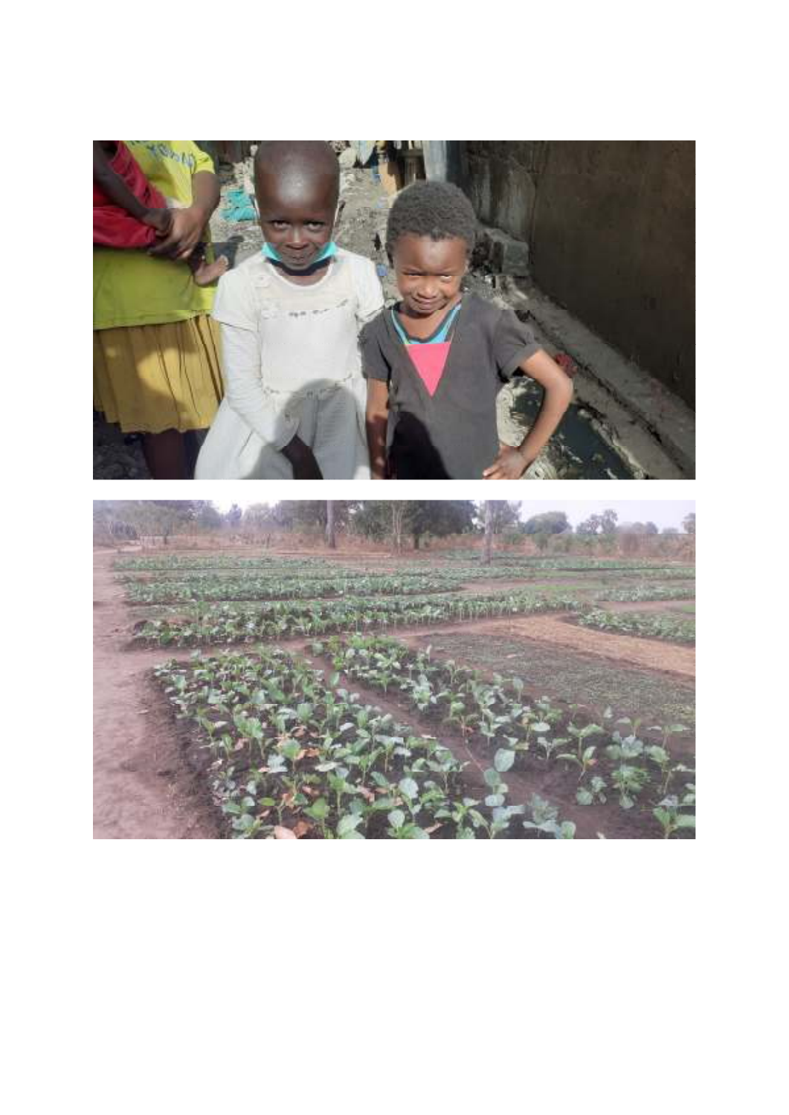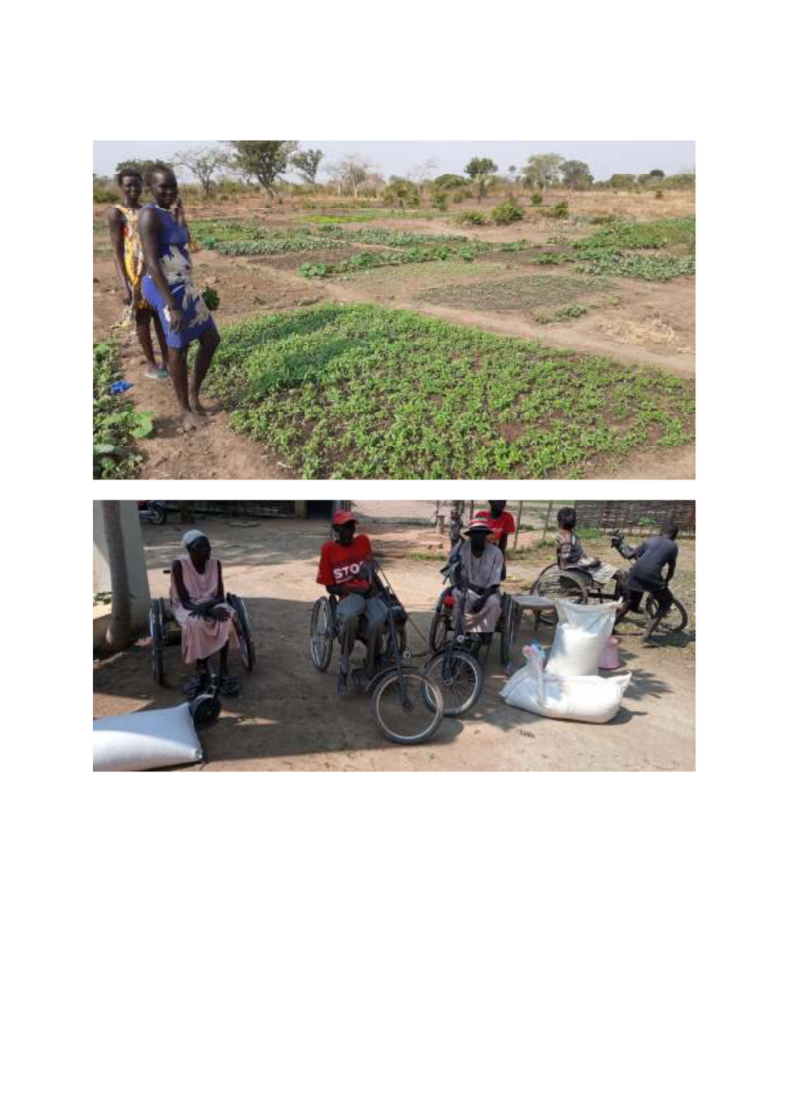

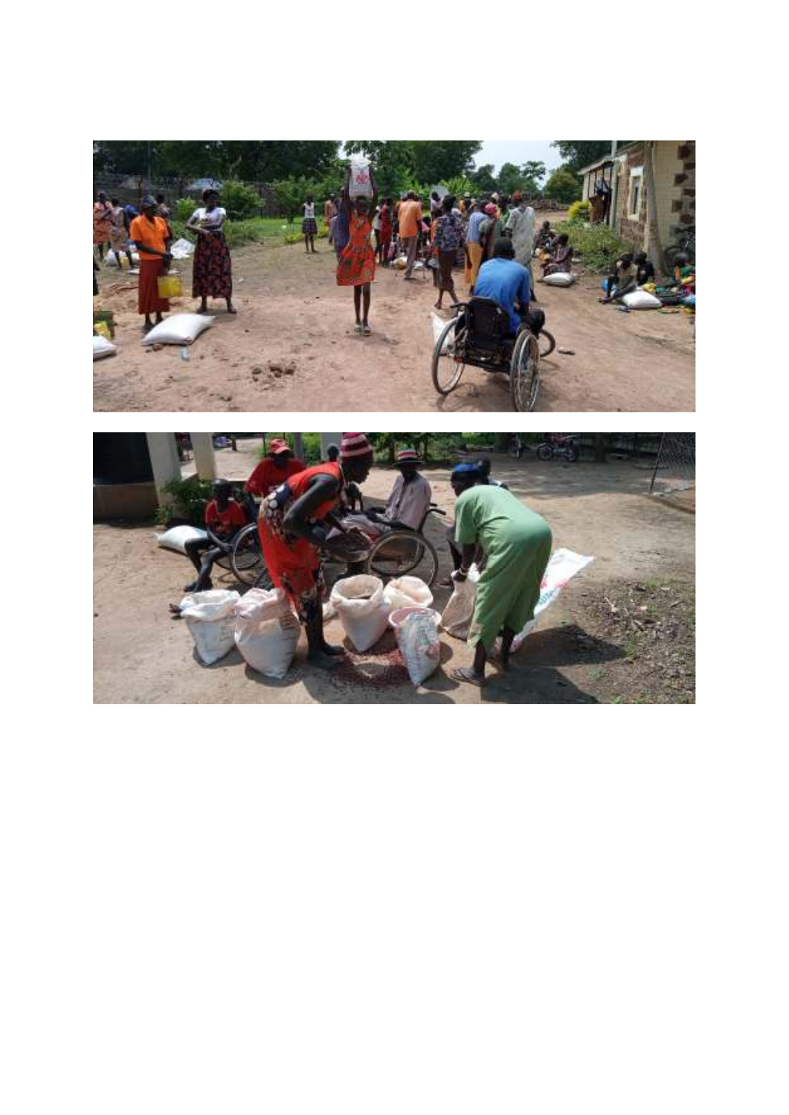